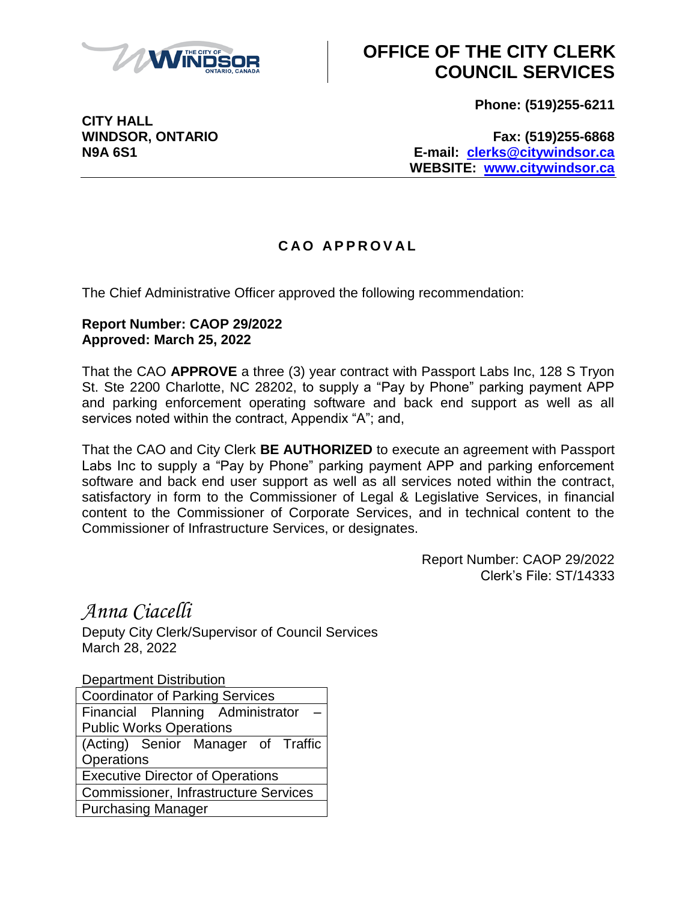

## **OFFICE OF THE CITY CLERK COUNCIL SERVICES**

**Phone: (519)255-6211**

**CITY HALL**

**WINDSOR, ONTARIO Fax: (519)255-6868 N9A 6S1 E-mail: [clerks@citywindsor.ca](mailto:clerks@citywindsor.ca) WEBSITE: [www.citywindsor.ca](http://www.citywindsor.ca/)**

## **C A O A P P R O V A L**

The Chief Administrative Officer approved the following recommendation:

## **Report Number: CAOP 29/2022 Approved: March 25, 2022**

That the CAO **APPROVE** a three (3) year contract with Passport Labs Inc, 128 S Tryon St. Ste 2200 Charlotte, NC 28202, to supply a "Pay by Phone" parking payment APP and parking enforcement operating software and back end support as well as all services noted within the contract, Appendix "A"; and,

That the CAO and City Clerk **BE AUTHORIZED** to execute an agreement with Passport Labs Inc to supply a "Pay by Phone" parking payment APP and parking enforcement software and back end user support as well as all services noted within the contract, satisfactory in form to the Commissioner of Legal & Legislative Services, in financial content to the Commissioner of Corporate Services, and in technical content to the Commissioner of Infrastructure Services, or designates.

> Report Number: CAOP 29/2022 Clerk's File: ST/14333

*Anna Ciacelli*

Deputy City Clerk/Supervisor of Council Services March 28, 2022

Department Distribution

| <b>Coordinator of Parking Services</b>       |
|----------------------------------------------|
| Financial Planning Administrator             |
| <b>Public Works Operations</b>               |
| (Acting) Senior Manager of Traffic           |
| Operations                                   |
| <b>Executive Director of Operations</b>      |
| <b>Commissioner, Infrastructure Services</b> |
| <b>Purchasing Manager</b>                    |